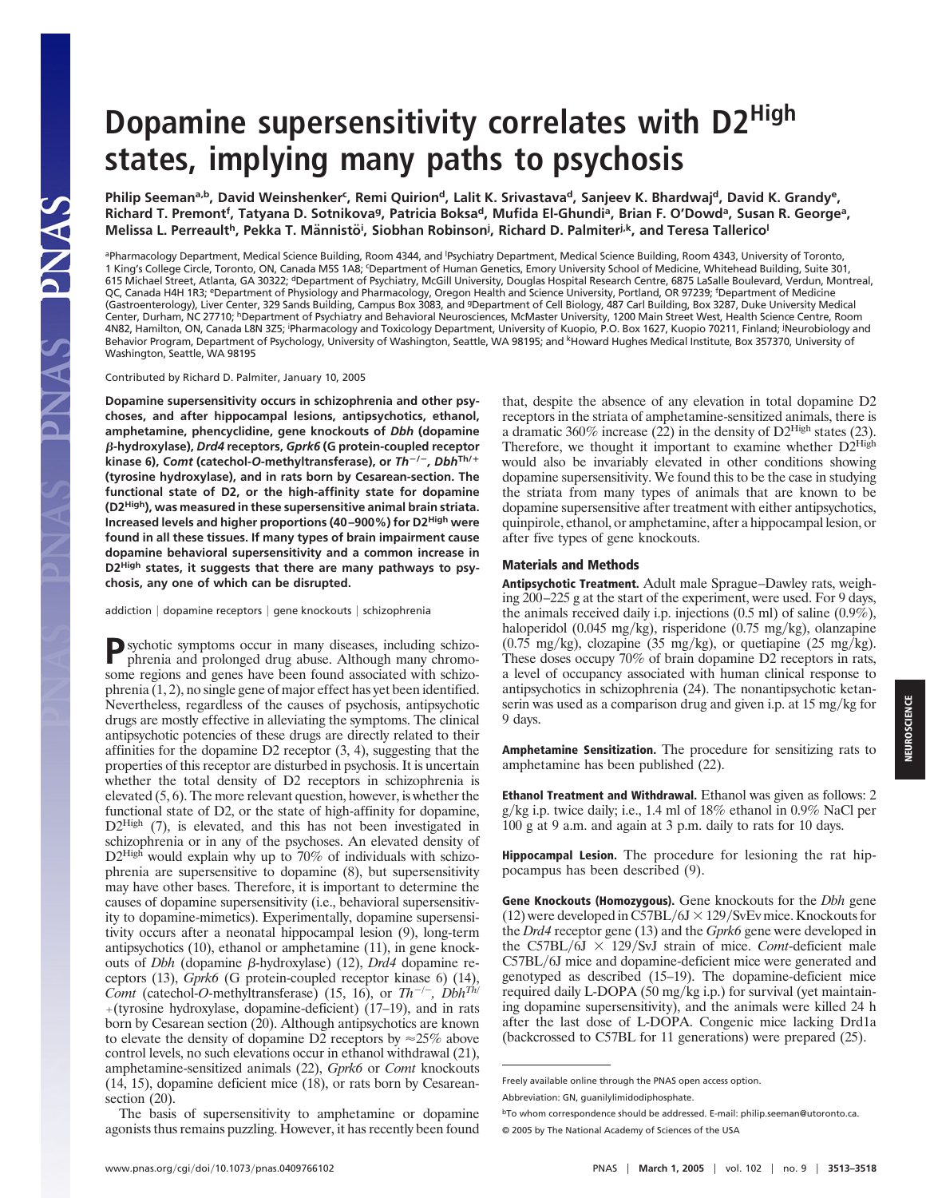# **Dopamine supersensitivity correlates with D2High states, implying many paths to psychosis**

Philip Seeman<sup>a,b</sup>, David Weinshenker<sup>c</sup>, Remi Quirion<sup>d</sup>, Lalit K. Srivastava<sup>d</sup>, Sanjeev K. Bhardwaj<sup>d</sup>, David K. Grandy<sup>e</sup>, Richard T. Premont<sup>f</sup>, Tatyana D. Sotnikova<sup>g</sup>, Patricia Boksa<sup>d</sup>, Mufida El-Ghundi<sup>a</sup>, Brian F. O'Dowd<sup>a</sup>, Susan R. George<sup>a</sup>, Melissa L. Perreault<sup>h</sup>, Pekka T. Männistö<sup>i</sup>, Siobhan Robinson<sup>i</sup>, Richard D. Palmiter<sup>j,k</sup>, and Teresa Tallerico<sup>l</sup>

aPharmacology Department, Medical Science Building, Room 4344, and <sup>I</sup>Psychiatry Department, Medical Science Building, Room 4343, University of Toronto, 1 King's College Circle, Toronto, ON, Canada M5S 1A8; <sup>c</sup> Department of Human Genetics, Emory University School of Medicine, Whitehead Building, Suite 301, 615 Michael Street, Atlanta, GA 30322; <sup>d</sup>Department of Psychiatry, McGill University, Douglas Hospital Research Centre, 6875 LaSalle Boulevard, Verdun, Montreal, QC, Canada H4H 1R3; <sup>e</sup>Department of Physiology and Pharmacology, Oregon Health and Science University, Portland, OR 97239; <sup>f</sup>Department of Medicine (Gastroenterology), Liver Center, 329 Sands Building, Campus Box 3083, and gDepartment of Cell Biology, 487 Carl Building, Box 3287, Duke University Medical Center, Durham, NC 27710; hDepartment of Psychiatry and Behavioral Neurosciences, McMaster University, 1200 Main Street West, Health Science Centre, Room 4N82, Hamilton, ON, Canada L8N 3Z5; Pharmacology and Toxicology Department, University of Kuopio, P.O. Box 1627, Kuopio 70211, Finland; <sup>j</sup>Neurobiology and Behavior Program, Department of Psychology, University of Washington, Seattle, WA 98195; and <sup>k</sup>Howard Hughes Medical Institute, Box 357370, University of Washington, Seattle, WA 98195

#### Contributed by Richard D. Palmiter, January 10, 2005

SANG SAI

**Dopamine supersensitivity occurs in schizophrenia and other psychoses, and after hippocampal lesions, antipsychotics, ethanol, amphetamine, phencyclidine, gene knockouts of** *Dbh* **(dopamine** !**-hydroxylase),** *Drd4* **receptors,** *Gprk6* **(G protein-coupled receptor kinase 6),** *Comt* **(catechol-***O***-methyltransferase), or** *Th*"**/**"*, Dbh***Th/**# **(tyrosine hydroxylase), and in rats born by Cesarean-section. The functional state of D2, or the high-affinity state for dopamine (D2High), was measured in these supersensitive animal brain striata. Increased levels and higher proportions (40–900%) for D2High were found in all these tissues. If many types of brain impairment cause dopamine behavioral supersensitivity and a common increase in D2High states, it suggests that there are many pathways to psychosis, any one of which can be disrupted.**

addiction | dopamine receptors | gene knockouts | schizophrenia

**P**sychotic symptoms occur in many diseases, including schizophrenia and prolonged drug abuse. Although many chromosome regions and genes have been found associated with schizophrenia (1, 2), no single gene of major effect has yet been identified. Nevertheless, regardless of the causes of psychosis, antipsychotic drugs are mostly effective in alleviating the symptoms. The clinical antipsychotic potencies of these drugs are directly related to their affinities for the dopamine D2 receptor (3, 4), suggesting that the properties of this receptor are disturbed in psychosis. It is uncertain whether the total density of D2 receptors in schizophrenia is elevated  $(5, 6)$ . The more relevant question, however, is whether the functional state of D2, or the state of high-affinity for dopamine, D<sub>2</sub>High (7), is elevated, and this has not been investigated in schizophrenia or in any of the psychoses. An elevated density of D2High would explain why up to 70% of individuals with schizophrenia are supersensitive to dopamine (8), but supersensitivity may have other bases. Therefore, it is important to determine the causes of dopamine supersensitivity (i.e., behavioral supersensitivity to dopamine-mimetics). Experimentally, dopamine supersensitivity occurs after a neonatal hippocampal lesion (9), long-term antipsychotics (10), ethanol or amphetamine (11), in gene knockouts of *Dbh* (dopamine β-hydroxylase) (12), *Drd4* dopamine receptors (13), *Gprk6* (G protein-coupled receptor kinase 6) (14), *Comt* (catechol-*O*-methyltransferase) (15, 16), or *Th*<sup>-/-</sup>, *Dbh<sup>Th/</sup>*  $+($ tyrosine hydroxylase, dopamine-deficient) (17–19), and in rats born by Cesarean section (20). Although antipsychotics are known to elevate the density of dopamine D2 receptors by  $\approx$  25% above control levels, no such elevations occur in ethanol withdrawal (21), amphetamine-sensitized animals (22), *Gprk6* or *Comt* knockouts (14, 15), dopamine deficient mice (18), or rats born by Cesareansection  $(20)$ .

The basis of supersensitivity to amphetamine or dopamine agonists thus remains puzzling. However, it has recently been found that, despite the absence of any elevation in total dopamine D2 receptors in the striata of amphetamine-sensitized animals, there is a dramatic 360% increase (22) in the density of  $D2<sup>High</sup>$  states (23). Therefore, we thought it important to examine whether  $D2^{\text{High}}$ would also be invariably elevated in other conditions showing dopamine supersensitivity. We found this to be the case in studying the striata from many types of animals that are known to be dopamine supersensitive after treatment with either antipsychotics, quinpirole, ethanol, or amphetamine, after a hippocampal lesion, or after five types of gene knockouts.

#### Materials and Methods

Antipsychotic Treatment. Adult male Sprague–Dawley rats, weighing 200–225 g at the start of the experiment, were used. For 9 days, the animals received daily i.p. injections (0.5 ml) of saline (0.9%), haloperidol (0.045 mg/kg), risperidone (0.75 mg/kg), olanzapine  $(0.75 \text{ mg/kg})$ , clozapine  $(35 \text{ mg/kg})$ , or quetiapine  $(25 \text{ mg/kg})$ . These doses occupy 70% of brain dopamine D2 receptors in rats, a level of occupancy associated with human clinical response to antipsychotics in schizophrenia (24). The nonantipsychotic ketanserin was used as a comparison drug and given i.p. at  $15 \text{ mg/kg}$  for 9 days.

Amphetamine Sensitization. The procedure for sensitizing rats to amphetamine has been published (22).

Ethanol Treatment and Withdrawal. Ethanol was given as follows: 2  $g/kg$  i.p. twice daily; i.e., 1.4 ml of 18% ethanol in 0.9% NaCl per 100 g at 9 a.m. and again at 3 p.m. daily to rats for 10 days.

Hippocampal Lesion. The procedure for lesioning the rat hippocampus has been described (9).

Gene Knockouts (Homozygous). Gene knockouts for the *Dbh* gene (12) were developed in  $\overline{C57BL/6J} \times 129/\text{SvEv}$  mice. Knockouts for the *Drd4* receptor gene (13) and the *Gprk6* gene were developed in the C57BL/ $\overrightarrow{0}$ J  $\times$  129/SvJ strain of mice. *Comt*-deficient male C57BL/6J mice and dopamine-deficient mice were generated and genotyped as described (15–19). The dopamine-deficient mice required daily L-DOPA (50 mg/kg i.p.) for survival (yet maintaining dopamine supersensitivity), and the animals were killed 24 h after the last dose of L-DOPA. Congenic mice lacking Drd1a (backcrossed to C57BL for 11 generations) were prepared (25).

NEUROSCIENCE

**NEUROSCIENCE** 

Freely available online through the PNAS open access option.

Abbreviation: GN, guanilylimidodiphosphate.

bTo whom correspondence should be addressed. E-mail: philip.seeman@utoronto.ca. © 2005 by The National Academy of Sciences of the USA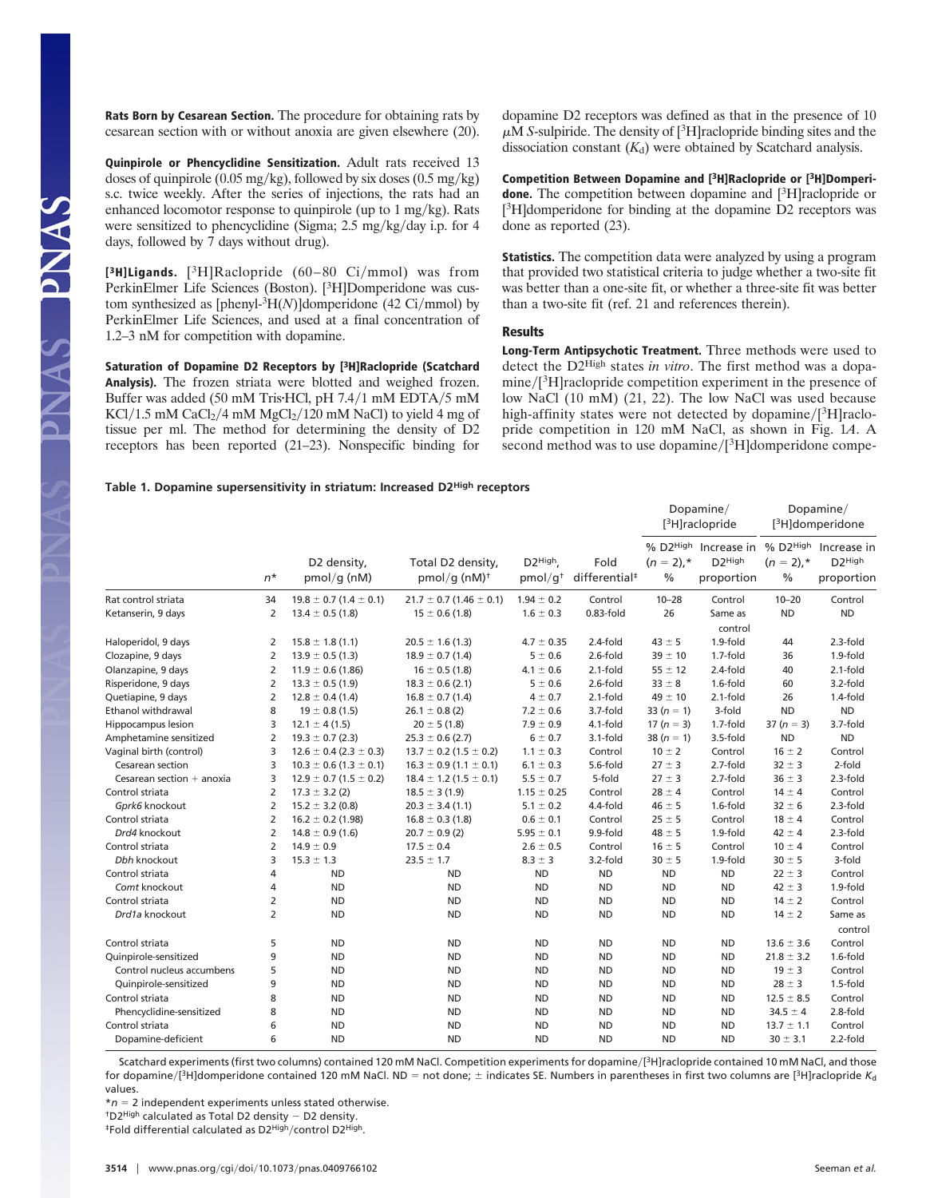Rats Born by Cesarean Section. The procedure for obtaining rats by cesarean section with or without anoxia are given elsewhere (20).

Quinpirole or Phencyclidine Sensitization. Adult rats received 13 doses of quinpirole (0.05 mg/kg), followed by six doses (0.5 mg/kg) s.c. twice weekly. After the series of injections, the rats had an enhanced locomotor response to quinpirole (up to  $1 \text{ mg/kg}$ ). Rats were sensitized to phencyclidine (Sigma;  $2.5 \text{ mg/kg/day}$  i.p. for 4 days, followed by 7 days without drug).

[<sup>3</sup>H]Ligands. [<sup>3</sup>H]Raclopride (60-80 Ci/mmol) was from PerkinElmer Life Sciences (Boston). [<sup>3</sup>H]Domperidone was custom synthesized as [phenyl-<sup>3</sup>H(N)]domperidone (42 Ci/mmol) by PerkinElmer Life Sciences, and used at a final concentration of 1.2–3 nM for competition with dopamine.

NAS PNAS

Saturation of Dopamine D2 Receptors by [3H]Raclopride (Scatchard Analysis). The frozen striata were blotted and weighed frozen. Buffer was added (50 mM Tris HCl, pH 7.4/1 mM EDTA/5 mM  $KCl/1.5$  mM  $CaCl<sub>2</sub>/4$  mM  $MgCl<sub>2</sub>/120$  mM NaCl) to yield 4 mg of tissue per ml. The method for determining the density of D2 receptors has been reported (21–23). Nonspecific binding for dopamine D2 receptors was defined as that in the presence of 10  $\mu$ M *S*-sulpiride. The density of [<sup>3</sup>H]raclopride binding sites and the dissociation constant  $(K_d)$  were obtained by Scatchard analysis.

Competition Between Dopamine and [3H]Raclopride or [3H]Domperidone. The competition between dopamine and [<sup>3</sup>H]raclopride or [<sup>3</sup>H]domperidone for binding at the dopamine D2 receptors was done as reported (23).

**Statistics.** The competition data were analyzed by using a program that provided two statistical criteria to judge whether a two-site fit was better than a one-site fit, or whether a three-site fit was better than a two-site fit (ref. 21 and references therein).

## Results

Long-Term Antipsychotic Treatment. Three methods were used to detect the D2High states *in vitro*. The first method was a dopamine/[<sup>3</sup>H]raclopride competition experiment in the presence of low NaCl (10 mM) (21, 22). The low NaCl was used because high-affinity states were not detected by dopamine/[<sup>3</sup>H]raclopride competition in 120 mM NaCl, as shown in Fig. 1*A*. A second method was to use dopamine/[<sup>3</sup>H]domperidone compe-

### **Table 1. Dopamine supersensitivity in striatum: Increased D2High receptors**

|                                                   | $n^*$               | D2 density,<br>$pmol/q$ (nM)                                     | Total D2 density,<br>pmol/q $(nM)^{\dagger}$                     | D <sub>2</sub> High<br>pmol/q <sup>†</sup> | Fold<br>differential <sup>#</sup> | Dopamine/<br>[ <sup>3</sup> H]raclopride |                                                           | Dopamine/<br>[ <sup>3</sup> H]domperidone |                                                                       |
|---------------------------------------------------|---------------------|------------------------------------------------------------------|------------------------------------------------------------------|--------------------------------------------|-----------------------------------|------------------------------------------|-----------------------------------------------------------|-------------------------------------------|-----------------------------------------------------------------------|
|                                                   |                     |                                                                  |                                                                  |                                            |                                   | $(n = 2)$ ,*<br>%                        | % D2High Increase in<br>D <sub>2</sub> High<br>proportion | $(n = 2)$ ,*<br>$\%$                      | % D2 <sup>High</sup> Increase in<br>D <sub>2</sub> High<br>proportion |
| Rat control striata                               | 34                  | $19.8 \pm 0.7$ (1.4 $\pm$ 0.1)                                   | $21.7 \pm 0.7$ (1.46 $\pm$ 0.1)                                  | $1.94 \pm 0.2$                             | Control                           | $10 - 28$                                | Control                                                   | $10 - 20$                                 | Control                                                               |
| Ketanserin, 9 days                                | 2                   | $13.4 \pm 0.5$ (1.8)                                             | $15 \pm 0.6$ (1.8)                                               | $1.6 \pm 0.3$                              | $0.83$ -fold                      | 26                                       | Same as                                                   | <b>ND</b>                                 | <b>ND</b>                                                             |
|                                                   |                     | $15.8 \pm 1.8$ (1.1)                                             | $20.5 \pm 1.6$ (1.3)                                             | $4.7 \pm 0.35$                             | 2.4-fold                          | $43 \pm 5$                               | control<br>1.9-fold                                       |                                           | 2.3-fold                                                              |
| Haloperidol, 9 days                               | 2                   |                                                                  |                                                                  |                                            | 2.6-fold                          |                                          |                                                           | 44                                        |                                                                       |
| Clozapine, 9 days                                 | $\overline{2}$      | $13.9 \pm 0.5$ (1.3)                                             | $18.9 \pm 0.7$ (1.4)                                             | $5 \pm 0.6$                                |                                   | $39 \pm 10$                              | 1.7-fold                                                  | 36                                        | 1.9-fold                                                              |
| Olanzapine, 9 days                                | $\overline{2}$      | $11.9 \pm 0.6$ (1.86)                                            | $16 \pm 0.5$ (1.8)                                               | $4.1 \pm 0.6$                              | $2.1-fold$                        | $55 \pm 12$                              | $2.4-fold$                                                | 40                                        | $2.1-fold$                                                            |
| Risperidone, 9 days                               | $\overline{2}$      | $13.3 \pm 0.5$ (1.9)                                             | $18.3 \pm 0.6$ (2.1)                                             | $5 \pm 0.6$                                | 2.6-fold                          | $33 \pm 8$                               | 1.6-fold                                                  | 60                                        | 3.2-fold                                                              |
| Quetiapine, 9 days<br><b>Ethanol withdrawal</b>   | $\overline{2}$      | $12.8 \pm 0.4$ (1.4)                                             | $16.8 \pm 0.7$ (1.4)                                             | $4 \pm 0.7$                                | $2.1-fold$<br>3.7-fold            | $49 \pm 10$                              | $2.1-fold$<br>3-fold                                      | 26<br><b>ND</b>                           | $1.4$ -fold<br><b>ND</b>                                              |
| Hippocampus lesion                                | 8                   | $19 \pm 0.8$ (1.5)                                               | $26.1 \pm 0.8$ (2)                                               | $7.2 \pm 0.6$<br>$7.9 \pm 0.9$             | 4.1-fold                          | 33 $(n = 1)$                             | 1.7-fold                                                  | 37 ( $n = 3$ )                            | 3.7-fold                                                              |
|                                                   | 3                   | $12.1 \pm 4(1.5)$                                                | $20 \pm 5(1.8)$                                                  |                                            |                                   | 17 ( $n = 3$ )                           | 3.5-fold                                                  | <b>ND</b>                                 | <b>ND</b>                                                             |
| Amphetamine sensitized<br>Vaginal birth (control) | $\overline{2}$<br>3 | $19.3 \pm 0.7$ (2.3)<br>$12.6 \pm 0.4$ (2.3 $\pm$ 0.3)           | $25.3 \pm 0.6$ (2.7)<br>$13.7 \pm 0.2$ (1.5 $\pm$ 0.2)           | 6 ± 0.7<br>$1.1 \pm 0.3$                   | 3.1-fold<br>Control               | 38 $(n = 1)$<br>$10 \pm 2$               | Control                                                   | $16 \pm 2$                                | Control                                                               |
| Cesarean section                                  | 3                   |                                                                  |                                                                  | $6.1 \pm 0.3$                              | 5.6-fold                          | $27 \pm 3$                               | 2.7-fold                                                  | $32 \pm 3$                                | 2-fold                                                                |
| Cesarean section $+$ anoxia                       | 3                   | $10.3 \pm 0.6$ (1.3 $\pm$ 0.1)<br>$12.9 \pm 0.7$ (1.5 $\pm$ 0.2) | $16.3 \pm 0.9$ (1.1 $\pm$ 0.1)<br>$18.4 \pm 1.2$ (1.5 $\pm$ 0.1) | $5.5 \pm 0.7$                              | 5-fold                            | $27 \pm 3$                               | 2.7-fold                                                  | $36 \pm 3$                                | 2.3-fold                                                              |
| Control striata                                   | $\overline{2}$      | $17.3 \pm 3.2$ (2)                                               | $18.5 \pm 3(1.9)$                                                | $1.15 \pm 0.25$                            | Control                           | $28 \pm 4$                               | Control                                                   | $14 \pm 4$                                | Control                                                               |
| Gprk6 knockout                                    | 2                   | $15.2 \pm 3.2$ (0.8)                                             | $20.3 \pm 3.4$ (1.1)                                             | $5.1 \pm 0.2$                              | 4.4-fold                          | $46 \pm 5$                               | $1.6$ -fold                                               | $32 \pm 6$                                | 2.3-fold                                                              |
| Control striata                                   | $\overline{2}$      | $16.2 \pm 0.2$ (1.98)                                            |                                                                  | $0.6 \pm 0.1$                              | Control                           | $25 \pm 5$                               | Control                                                   | $18 \pm 4$                                | Control                                                               |
| Drd4 knockout                                     | $\overline{2}$      | $14.8 \pm 0.9$ (1.6)                                             | $16.8 \pm 0.3$ (1.8)<br>$20.7 \pm 0.9$ (2)                       | $5.95 \pm 0.1$                             | 9.9-fold                          | $48 \pm 5$                               | 1.9-fold                                                  | $42 \pm 4$                                | 2.3-fold                                                              |
| Control striata                                   | $\overline{2}$      | $14.9 \pm 0.9$                                                   | $17.5 \pm 0.4$                                                   | $2.6 \pm 0.5$                              | Control                           | $16 \pm 5$                               | Control                                                   | $10 \pm 4$                                | Control                                                               |
| Dbh knockout                                      | 3                   | $15.3 \pm 1.3$                                                   | $23.5 \pm 1.7$                                                   | $8.3 \pm 3$                                | 3.2-fold                          | $30 \pm 5$                               | 1.9-fold                                                  | $30 \pm 5$                                | 3-fold                                                                |
| Control striata                                   | 4                   | <b>ND</b>                                                        | <b>ND</b>                                                        | <b>ND</b>                                  | <b>ND</b>                         | <b>ND</b>                                | <b>ND</b>                                                 | $22 \pm 3$                                | Control                                                               |
| Comt knockout                                     | 4                   | <b>ND</b>                                                        | <b>ND</b>                                                        | <b>ND</b>                                  | <b>ND</b>                         | <b>ND</b>                                | <b>ND</b>                                                 | $42 \pm 3$                                | 1.9-fold                                                              |
| Control striata                                   | $\overline{2}$      | <b>ND</b>                                                        | <b>ND</b>                                                        | <b>ND</b>                                  | <b>ND</b>                         | <b>ND</b>                                | <b>ND</b>                                                 | $14 \pm 2$                                | Control                                                               |
| Drd1a knockout                                    | $\overline{2}$      | <b>ND</b>                                                        | <b>ND</b>                                                        | <b>ND</b>                                  | <b>ND</b>                         | <b>ND</b>                                | <b>ND</b>                                                 | $14 \pm 2$                                | Same as                                                               |
|                                                   |                     |                                                                  |                                                                  |                                            |                                   |                                          |                                                           |                                           | control                                                               |
| Control striata                                   | 5                   | <b>ND</b>                                                        | <b>ND</b>                                                        | <b>ND</b>                                  | <b>ND</b>                         | <b>ND</b>                                | <b>ND</b>                                                 | $13.6 \pm 3.6$                            | Control                                                               |
| Quinpirole-sensitized                             | 9                   | <b>ND</b>                                                        | <b>ND</b>                                                        | <b>ND</b>                                  | <b>ND</b>                         | <b>ND</b>                                | <b>ND</b>                                                 | $21.8 \pm 3.2$                            | 1.6-fold                                                              |
| Control nucleus accumbens                         | 5                   | <b>ND</b>                                                        | <b>ND</b>                                                        | <b>ND</b>                                  | <b>ND</b>                         | <b>ND</b>                                | <b>ND</b>                                                 | $19 \pm 3$                                | Control                                                               |
| Quinpirole-sensitized                             | 9                   | <b>ND</b>                                                        | <b>ND</b>                                                        | <b>ND</b>                                  | <b>ND</b>                         | <b>ND</b>                                | <b>ND</b>                                                 | $28 \pm 3$                                | 1.5-fold                                                              |
| Control striata                                   | 8                   | <b>ND</b>                                                        | <b>ND</b>                                                        | <b>ND</b>                                  | <b>ND</b>                         | <b>ND</b>                                | <b>ND</b>                                                 | $12.5 \pm 8.5$                            | Control                                                               |
| Phencyclidine-sensitized                          | 8                   | <b>ND</b>                                                        | <b>ND</b>                                                        | <b>ND</b>                                  | <b>ND</b>                         | <b>ND</b>                                | <b>ND</b>                                                 | $34.5 \pm 4$                              | 2.8-fold                                                              |
| Control striata                                   | 6                   | <b>ND</b>                                                        | <b>ND</b>                                                        | <b>ND</b>                                  | <b>ND</b>                         | <b>ND</b>                                | <b>ND</b>                                                 | $13.7 \pm 1.1$                            | Control                                                               |
| Dopamine-deficient                                | 6                   | <b>ND</b>                                                        | <b>ND</b>                                                        | <b>ND</b>                                  | <b>ND</b>                         | <b>ND</b>                                | <b>ND</b>                                                 | $30 \pm 3.1$                              | 2.2-fold                                                              |

Scatchard experiments (first two columns) contained 120 mM NaCl. Competition experiments for dopamine/[<sup>3</sup>H]raclopride contained 10 mM NaCl, and those for dopamine/[3H]domperidone contained 120 mM NaCl. ND = not done;  $\pm$  indicates SE. Numbers in parentheses in first two columns are [3H]raclopride  $K_d$ values.

 $*n = 2$  independent experiments unless stated otherwise.

 $<sup>†</sup>D2<sup>High</sup>$  calculated as Total D2 density  $-$  D2 density.</sup>

<sup>‡</sup>Fold differential calculated as D2<sup>High</sup>/control D2<sup>High</sup>.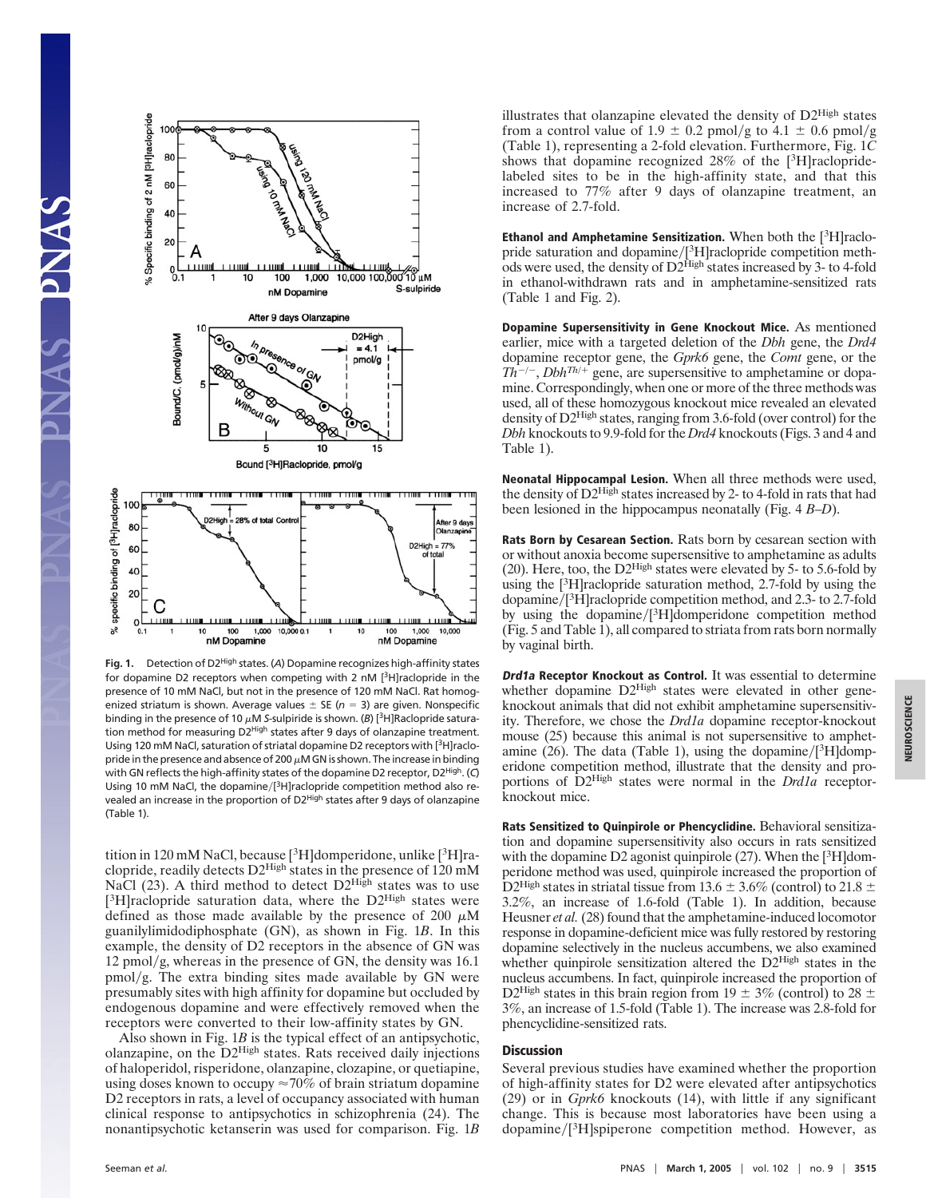

Fig. 1. Detection of D2<sup>High</sup> states. (A) Dopamine recognizes high-affinity states for dopamine D2 receptors when competing with 2 nM [3H]raclopride in the presence of 10 mM NaCl, but not in the presence of 120 mM NaCl. Rat homogenized striatum is shown. Average values  $\pm$  SE ( $n = 3$ ) are given. Nonspecific binding in the presence of 10  $\mu$ M *S*-sulpiride is shown. (*B*) [<sup>3</sup>H]Raclopride saturation method for measuring D2<sup>High</sup> states after 9 days of olanzapine treatment. Using 120 mM NaCl, saturation of striatal dopamine D2 receptors with [<sup>3</sup>H]raclopride in the presence and absence of 200  $\mu$ M GN is shown. The increase in binding with GN reflects the high-affinity states of the dopamine D2 receptor, D2<sup>High</sup>. (C) Using 10 mM NaCl, the dopamine/[<sup>3</sup>H]raclopride competition method also revealed an increase in the proportion of D2<sup>High</sup> states after 9 days of olanzapine (Table 1).

tition in 120 mM NaCl, because [<sup>3</sup>H]domperidone, unlike [<sup>3</sup>H]raclopride, readily detects D2High states in the presence of 120 mM NaCl  $(23)$ . A third method to detect  $D2<sup>High</sup>$  states was to use [ ${}^{3}$ H]raclopride saturation data, where the D2<sup>High</sup> states were defined as those made available by the presence of 200  $\mu$ M guanilylimidodiphosphate (GN), as shown in Fig. 1*B*. In this example, the density of D2 receptors in the absence of GN was  $12 \text{ pmol/g}$ , whereas in the presence of GN, the density was 16.1  $pmol/g$ . The extra binding sites made available by GN were presumably sites with high affinity for dopamine but occluded by endogenous dopamine and were effectively removed when the receptors were converted to their low-affinity states by GN.

Also shown in Fig. 1*B* is the typical effect of an antipsychotic, olanzapine, on the D2High states. Rats received daily injections of haloperidol, risperidone, olanzapine, clozapine, or quetiapine, using doses known to occupy  $\approx 70\%$  of brain striatum dopamine D2 receptors in rats, a level of occupancy associated with human clinical response to antipsychotics in schizophrenia (24). The nonantipsychotic ketanserin was used for comparison. Fig. 1*B*

illustrates that olanzapine elevated the density of  $D2^{High}$  states from a control value of 1.9  $\pm$  0.2 pmol/g to 4.1  $\pm$  0.6 pmol/g (Table 1), representing a 2-fold elevation. Furthermore, Fig. 1*C* shows that dopamine recognized 28% of the [ 3H]raclopridelabeled sites to be in the high-affinity state, and that this increased to 77% after 9 days of olanzapine treatment, an increase of 2.7-fold.

Ethanol and Amphetamine Sensitization. When both the  $[3H]$ raclopride saturation and dopamine/[<sup>3</sup>H]raclopride competition methods were used, the density of D2<sup>High</sup> states increased by 3- to 4-fold in ethanol-withdrawn rats and in amphetamine-sensitized rats (Table 1 and Fig. 2).

Dopamine Supersensitivity in Gene Knockout Mice. As mentioned earlier, mice with a targeted deletion of the *Dbh* gene, the *Drd4* dopamine receptor gene, the *Gprk6* gene, the *Comt* gene, or the  $T\hat{h}^{-/-}$ , *Dbh*<sup>Th/+</sup> gene, are supersensitive to amphetamine or dopamine. Correspondingly, when one or more of the three methods was used, all of these homozygous knockout mice revealed an elevated density of  $D2^{High}$  states, ranging from 3.6-fold (over control) for the *Dbh* knockouts to 9.9-fold for the *Drd4* knockouts (Figs. 3 and 4 and Table 1).

Neonatal Hippocampal Lesion. When all three methods were used, the density of D2High states increased by 2- to 4-fold in rats that had been lesioned in the hippocampus neonatally (Fig. 4 *B*–*D*).

Rats Born by Cesarean Section. Rats born by cesarean section with or without anoxia become supersensitive to amphetamine as adults (20). Here, too, the D2High states were elevated by 5- to 5.6-fold by using the [ 3 H]raclopride saturation method, 2.7-fold by using the dopamine/[<sup>3</sup>H]raclopride competition method, and 2.3- to 2.7-fold by using the dopamine/[<sup>3</sup>H]domperidone competition method (Fig. 5 and Table 1), all compared to striata from rats born normally by vaginal birth.

Drd1a Receptor Knockout as Control. It was essential to determine whether dopamine  $D2^{\text{High}}$  states were elevated in other geneknockout animals that did not exhibit amphetamine supersensitivity. Therefore, we chose the *Drd1a* dopamine receptor-knockout mouse (25) because this animal is not supersensitive to amphetamine  $(26)$ . The data (Table 1), using the dopamine/[<sup>3</sup>H]domperidone competition method, illustrate that the density and proportions of D2High states were normal in the *Drd1a* receptorknockout mice.

Rats Sensitized to Quinpirole or Phencyclidine. Behavioral sensitization and dopamine supersensitivity also occurs in rats sensitized with the dopamine D2 agonist quinpirole (27). When the [3H]domperidone method was used, quinpirole increased the proportion of D<sub>2</sub>High states in striatal tissue from 13.6  $\pm$  3.6% (control) to 21.8  $\pm$ 3.2%, an increase of 1.6-fold (Table 1). In addition, because Heusner *et al.* (28) found that the amphetamine-induced locomotor response in dopamine-deficient mice was fully restored by restoring dopamine selectively in the nucleus accumbens, we also examined whether quinpirole sensitization altered the D2High states in the nucleus accumbens. In fact, quinpirole increased the proportion of D2High states in this brain region from 19  $\pm$  3% (control) to 28  $\pm$ 3%, an increase of 1.5-fold (Table 1). The increase was 2.8-fold for phencyclidine-sensitized rats.

## **Discussion**

Several previous studies have examined whether the proportion of high-affinity states for D2 were elevated after antipsychotics (29) or in *Gprk6* knockouts (14), with little if any significant change. This is because most laboratories have been using a  $d$ opamine/ $[^3H]$ spiperone competition method. However, as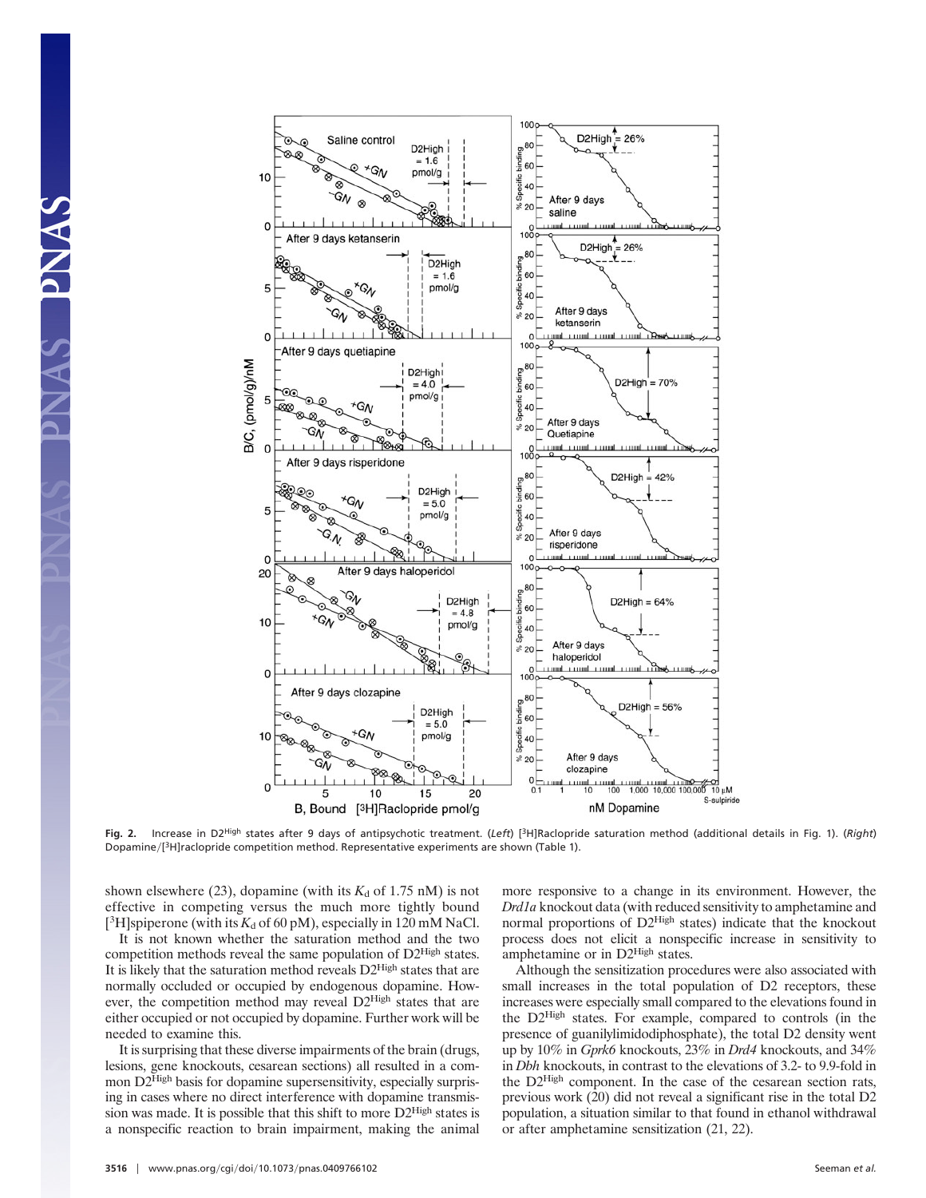

**Fig. 2.** Increase in D2High states after 9 days of antipsychotic treatment. (*Left*) [3H]Raclopride saturation method (additional details in Fig. 1). (*Right*) Dopamine/[<sup>3</sup>H]raclopride competition method. Representative experiments are shown (Table 1).

shown elsewhere (23), dopamine (with its  $K_d$  of 1.75 nM) is not effective in competing versus the much more tightly bound [<sup>3</sup>H]spiperone (with its  $K_d$  of 60 pM), especially in 120 mM NaCl.

AS PNAS

It is not known whether the saturation method and the two competition methods reveal the same population of D2High states. It is likely that the saturation method reveals D2High states that are normally occluded or occupied by endogenous dopamine. However, the competition method may reveal D2High states that are either occupied or not occupied by dopamine. Further work will be needed to examine this.

It is surprising that these diverse impairments of the brain (drugs, lesions, gene knockouts, cesarean sections) all resulted in a common D2<sup>High</sup> basis for dopamine supersensitivity, especially surprising in cases where no direct interference with dopamine transmission was made. It is possible that this shift to more D2High states is a nonspecific reaction to brain impairment, making the animal more responsive to a change in its environment. However, the *Drd1a* knockout data (with reduced sensitivity to amphetamine and normal proportions of D2<sup>High</sup> states) indicate that the knockout process does not elicit a nonspecific increase in sensitivity to amphetamine or in D2High states.

 $\frac{10}{10}$   $\mu$ M

Although the sensitization procedures were also associated with small increases in the total population of D2 receptors, these increases were especially small compared to the elevations found in the D2High states. For example, compared to controls (in the presence of guanilylimidodiphosphate), the total D2 density went up by 10% in *Gprk6* knockouts, 23% in *Drd4* knockouts, and 34% in *Dbh* knockouts, in contrast to the elevations of 3.2- to 9.9-fold in the D2High component. In the case of the cesarean section rats, previous work (20) did not reveal a significant rise in the total D2 population, a situation similar to that found in ethanol withdrawal or after amphetamine sensitization (21, 22).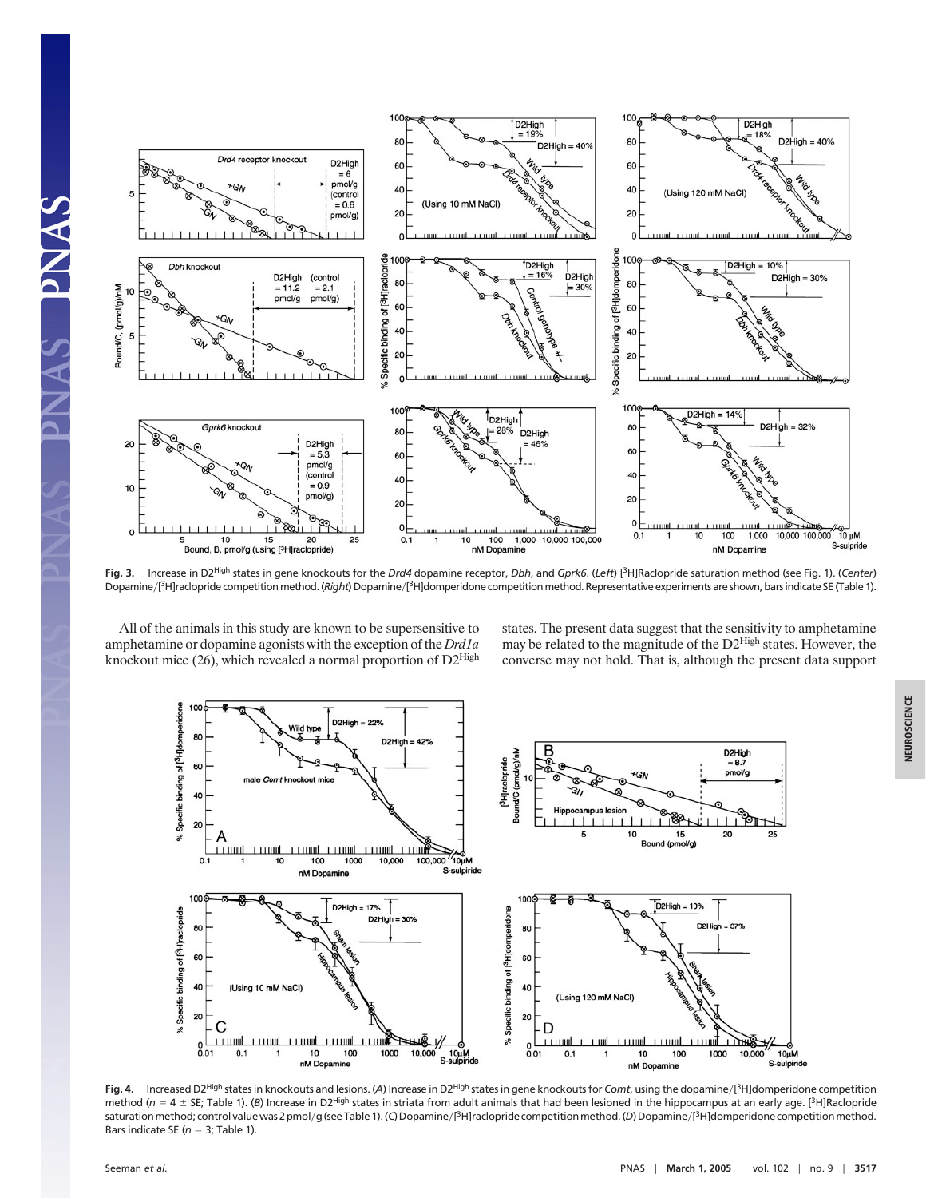

**Fig. 3.** Increase in D2High states in gene knockouts for the *Drd4* dopamine receptor, *Dbh*, and *Gprk6*. (*Left*) [ 3H]Raclopride saturation method (see Fig. 1). (*Center*) Dopamine/[<sup>3</sup>H]raclopride competition method. (Right) Dopamine/[<sup>3</sup>H]domperidone competition method. Representative experiments are shown, bars indicate SE (Table 1).

All of the animals in this study are known to be supersensitive to amphetamine or dopamine agonists with the exception of the *Drd1a* knockout mice (26), which revealed a normal proportion of D2High

states. The present data suggest that the sensitivity to amphetamine may be related to the magnitude of the D2High states. However, the converse may not hold. That is, although the present data support



**Fig. 4.** Increased D2High statesin knockouts and lesions. (*A*) Increase in D2High statesin gene knockoutsfor *Comt*, using the dopamine"[ 3H]domperidone competition method (n = 4 ± SE; Table 1). (B) Increase in D2<sup>High</sup> states in striata from adult animals that had been lesioned in the hippocampus at an early age. [<sup>3</sup>H]Raclopride saturation method; control value was 2 pmol/g (see Table 1). (C) Dopamine/[<sup>3</sup>H]raclopride competition method. (D) Dopamine/[<sup>3</sup>H]domperidone competition method. Bars indicate SE ( $n = 3$ ; Table 1).

S PNAS